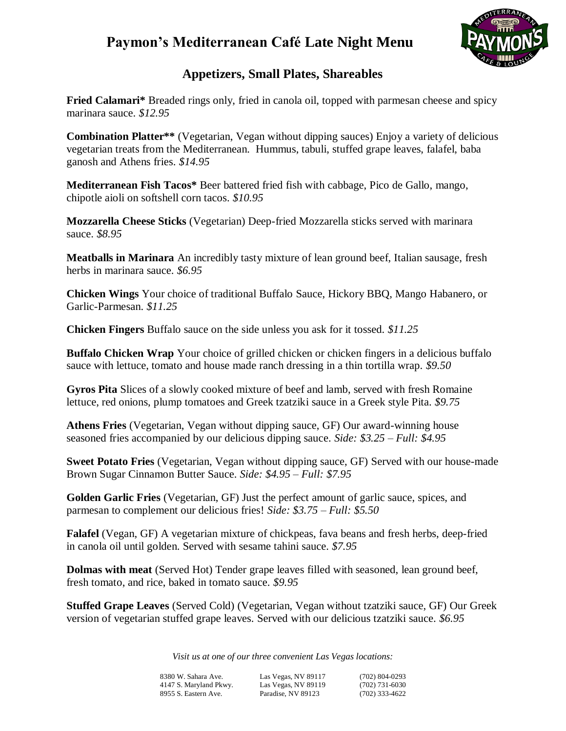

### **Appetizers, Small Plates, Shareables**

**Fried Calamari\*** Breaded rings only, fried in canola oil, topped with parmesan cheese and spicy marinara sauce. *\$12.95*

**Combination Platter\*\*** (Vegetarian, Vegan without dipping sauces) Enjoy a variety of delicious vegetarian treats from the Mediterranean. Hummus, tabuli, stuffed grape leaves, falafel, baba ganosh and Athens fries. *\$14.95*

**Mediterranean Fish Tacos\*** Beer battered fried fish with cabbage, Pico de Gallo, mango, chipotle aioli on softshell corn tacos. *\$10.95*

**Mozzarella Cheese Sticks** (Vegetarian) Deep-fried Mozzarella sticks served with marinara sauce. *\$8.95*

**Meatballs in Marinara** An incredibly tasty mixture of lean ground beef, Italian sausage, fresh herbs in marinara sauce. *\$6.95*

**Chicken Wings** Your choice of traditional Buffalo Sauce, Hickory BBQ, Mango Habanero, or Garlic-Parmesan. *\$11.25*

**Chicken Fingers** Buffalo sauce on the side unless you ask for it tossed. *\$11.25*

**Buffalo Chicken Wrap** Your choice of grilled chicken or chicken fingers in a delicious buffalo sauce with lettuce, tomato and house made ranch dressing in a thin tortilla wrap. *\$9.50*

**Gyros Pita** Slices of a slowly cooked mixture of beef and lamb, served with fresh Romaine lettuce, red onions, plump tomatoes and Greek tzatziki sauce in a Greek style Pita. *\$9.75*

**Athens Fries** (Vegetarian, Vegan without dipping sauce, GF) Our award-winning house seasoned fries accompanied by our delicious dipping sauce. *Side: \$3.25 – Full: \$4.95*

**Sweet Potato Fries** (Vegetarian, Vegan without dipping sauce, GF) Served with our house-made Brown Sugar Cinnamon Butter Sauce. *Side: \$4.95 – Full: \$7.95*

**Golden Garlic Fries** (Vegetarian, GF) Just the perfect amount of garlic sauce, spices, and parmesan to complement our delicious fries! *Side: \$3.75 – Full: \$5.50*

**Falafel** (Vegan, GF) A vegetarian mixture of chickpeas, fava beans and fresh herbs, deep-fried in canola oil until golden. Served with sesame tahini sauce. *\$7.95*

**Dolmas with meat** (Served Hot) Tender grape leaves filled with seasoned, lean ground beef, fresh tomato, and rice, baked in tomato sauce. *\$9.95*

**Stuffed Grape Leaves** (Served Cold) (Vegetarian, Vegan without tzatziki sauce, GF) Our Greek version of vegetarian stuffed grape leaves. Served with our delicious tzatziki sauce. *\$6.95*

*Visit us at one of our three convenient Las Vegas locations:*

| 8380 W. Sahara Ave.    | Las Vegas, NV 89117 | $(702)$ 804-0293 |
|------------------------|---------------------|------------------|
| 4147 S. Maryland Pkwy. | Las Vegas, NV 89119 | $(702)$ 731-6030 |
| 8955 S. Eastern Ave.   | Paradise. NV 89123  | $(702)$ 333-4622 |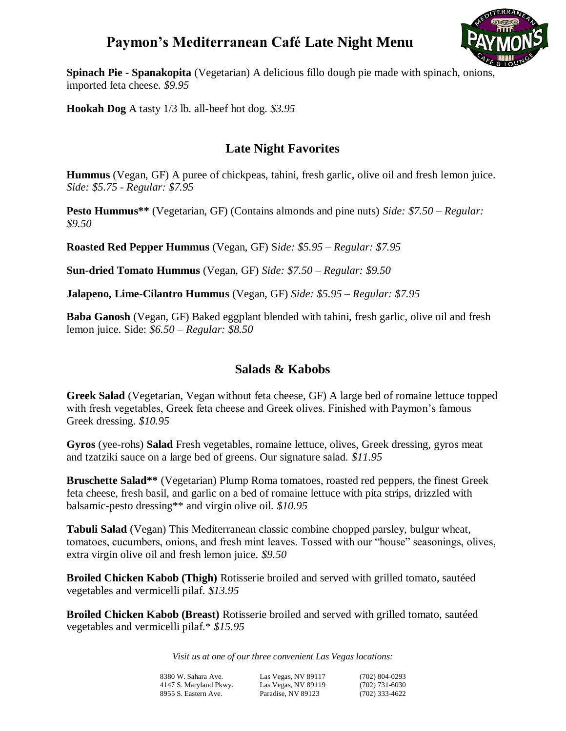

**Spinach Pie - Spanakopita** (Vegetarian) A delicious fillo dough pie made with spinach, onions, imported feta cheese. *\$9.95*

**Hookah Dog** A tasty 1/3 lb. all-beef hot dog. *\$3.95*

### **Late Night Favorites**

**Hummus** (Vegan, GF) A puree of chickpeas, tahini, fresh garlic, olive oil and fresh lemon juice. *Side: \$5.75 - Regular: \$7.95*

**Pesto Hummus\*\*** (Vegetarian, GF) (Contains almonds and pine nuts) *Side: \$7.50 – Regular: \$9.50*

**Roasted Red Pepper Hummus** (Vegan, GF) S*ide: \$5.95 – Regular: \$7.95* 

**Sun-dried Tomato Hummus** (Vegan, GF) *Side: \$7.50 – Regular: \$9.50*

**Jalapeno, Lime-Cilantro Hummus** (Vegan, GF) *Side: \$5.95 – Regular: \$7.95*

**Baba Ganosh** (Vegan, GF) Baked eggplant blended with tahini, fresh garlic, olive oil and fresh lemon juice. Side: *\$6.50 – Regular: \$8.50*

### **Salads & Kabobs**

**Greek Salad** (Vegetarian, Vegan without feta cheese, GF) A large bed of romaine lettuce topped with fresh vegetables, Greek feta cheese and Greek olives. Finished with Paymon's famous Greek dressing. *\$10.95*

**Gyros** (yee-rohs) **Salad** Fresh vegetables, romaine lettuce, olives, Greek dressing, gyros meat and tzatziki sauce on a large bed of greens. Our signature salad. *\$11.95*

**Bruschette Salad\*\*** (Vegetarian) Plump Roma tomatoes, roasted red peppers, the finest Greek feta cheese, fresh basil, and garlic on a bed of romaine lettuce with pita strips, drizzled with balsamic-pesto dressing\*\* and virgin olive oil. *\$10.95*

**Tabuli Salad** (Vegan) This Mediterranean classic combine chopped parsley, bulgur wheat, tomatoes, cucumbers, onions, and fresh mint leaves. Tossed with our "house" seasonings, olives, extra virgin olive oil and fresh lemon juice. *\$9.50*

**Broiled Chicken Kabob (Thigh)** Rotisserie broiled and served with grilled tomato, sautéed vegetables and vermicelli pilaf. *\$13.95*

**Broiled Chicken Kabob (Breast)** Rotisserie broiled and served with grilled tomato, sautéed vegetables and vermicelli pilaf.\* *\$15.95*

*Visit us at one of our three convenient Las Vegas locations:*

| 8380 W. Sahara Ave.    | Las Vegas, NV 89117 | $(702)$ 804-0293 |
|------------------------|---------------------|------------------|
| 4147 S. Maryland Pkwy. | Las Vegas, NV 89119 | $(702)$ 731-6030 |
| 8955 S. Eastern Ave.   | Paradise. NV 89123  | $(702)$ 333-4622 |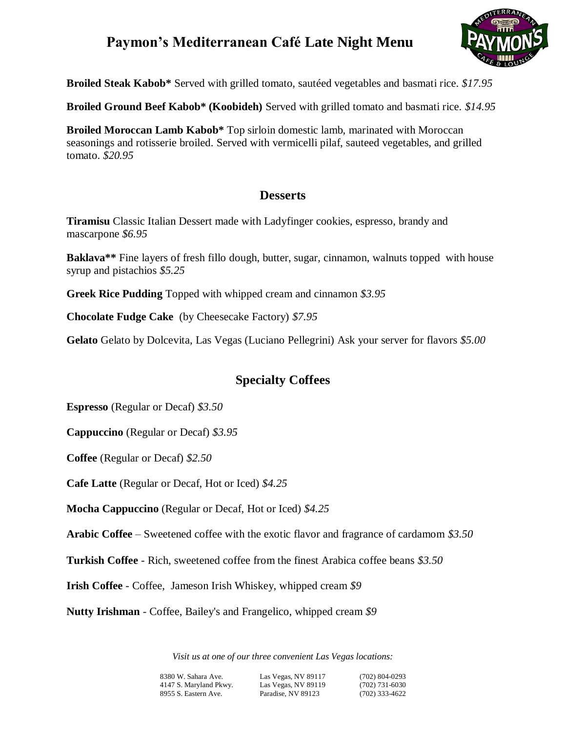

**Broiled Steak Kabob\*** Served with grilled tomato, sautéed vegetables and basmati rice. *\$17.95*

**Broiled Ground Beef Kabob\* (Koobideh)** Served with grilled tomato and basmati rice. *\$14.95*

**Broiled Moroccan Lamb Kabob\*** Top sirloin domestic lamb, marinated with Moroccan seasonings and rotisserie broiled. Served with vermicelli pilaf, sauteed vegetables, and grilled tomato. *\$20.95*

#### **Desserts**

**Tiramisu** Classic Italian Dessert made with Ladyfinger cookies, espresso, brandy and mascarpone *\$6.95*

**Baklava\*\*** Fine layers of fresh fillo dough, butter, sugar, cinnamon, walnuts topped with house syrup and pistachios *\$5.25*

**Greek Rice Pudding** Topped with whipped cream and cinnamon *\$3.95*

**Chocolate Fudge Cake** (by Cheesecake Factory) *\$7.95*

**Gelato** Gelato by Dolcevita, Las Vegas (Luciano Pellegrini) Ask your server for flavors *\$5.00*

### **Specialty Coffees**

**Espresso** (Regular or Decaf) *\$3.50*

**Cappuccino** (Regular or Decaf) *\$3.95*

**Coffee** (Regular or Decaf) *\$2.50*

**Cafe Latte** (Regular or Decaf, Hot or Iced) *\$4.25*

**Mocha Cappuccino** (Regular or Decaf, Hot or Iced) *\$4.25*

**Arabic Coffee** – Sweetened coffee with the exotic flavor and fragrance of cardamom *\$3.50*

**Turkish Coffee** - Rich, sweetened coffee from the finest Arabica coffee beans *\$3.50*

**Irish Coffee** - Coffee, Jameson Irish Whiskey, whipped cream *\$9*

**Nutty Irishman** - Coffee, Bailey's and Frangelico, whipped cream *\$9*

*Visit us at one of our three convenient Las Vegas locations:*

8380 W. Sahara Ave. Las Vegas, NV 89117 (702) 804-0293 Las Vegas, NV 89119 8955 S. Eastern Ave. Paradise, NV 89123 (702) 333-4622